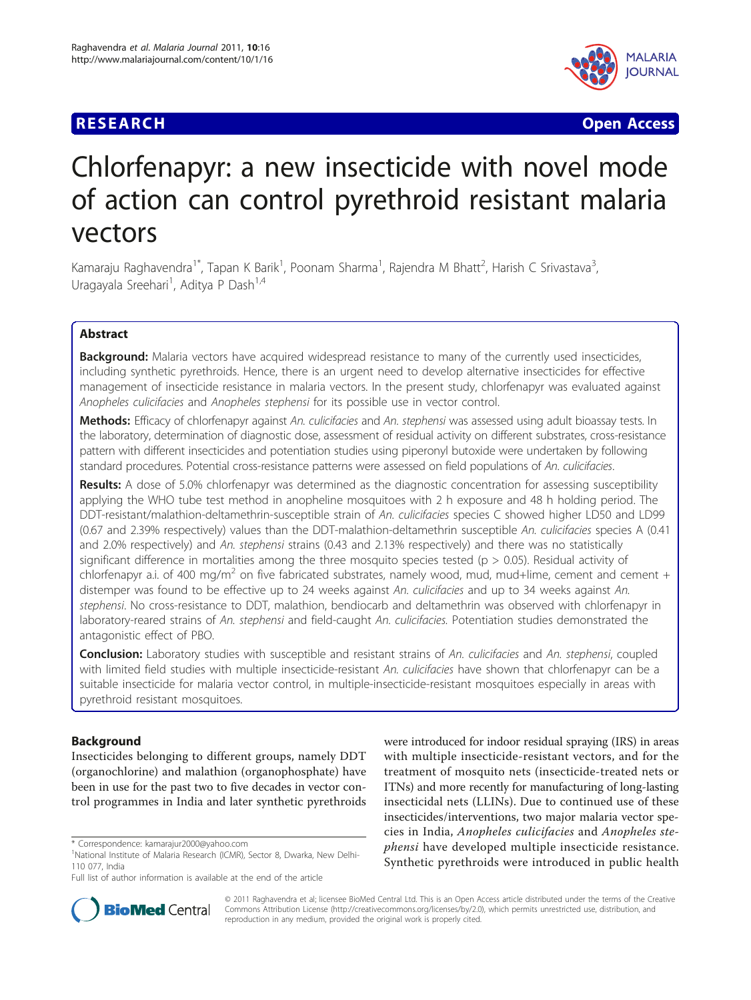## **RESEARCH CONTROL** CONTROL CONTROL CONTROL CONTROL CONTROL CONTROL CONTROL CONTROL CONTROL CONTROL CONTROL CONTROL CONTROL CONTROL CONTROL CONTROL CONTROL CONTROL CONTROL CONTROL CONTROL CONTROL CONTROL CONTROL CONTROL CON



# Chlorfenapyr: a new insecticide with novel mode of action can control pyrethroid resistant malaria vectors

Kamaraju Raghavendra<sup>1\*</sup>, Tapan K Barik<sup>1</sup>, Poonam Sharma<sup>1</sup>, Rajendra M Bhatt<sup>2</sup>, Harish C Srivastava<sup>3</sup> , Uragayala Sreehari<sup>1</sup>, Aditya P Dash<sup>1,4</sup>

## Abstract

**Background:** Malaria vectors have acquired widespread resistance to many of the currently used insecticides, including synthetic pyrethroids. Hence, there is an urgent need to develop alternative insecticides for effective management of insecticide resistance in malaria vectors. In the present study, chlorfenapyr was evaluated against Anopheles culicifacies and Anopheles stephensi for its possible use in vector control.

Methods: Efficacy of chlorfenapyr against An. culicifacies and An. stephensi was assessed using adult bioassay tests. In the laboratory, determination of diagnostic dose, assessment of residual activity on different substrates, cross-resistance pattern with different insecticides and potentiation studies using piperonyl butoxide were undertaken by following standard procedures. Potential cross-resistance patterns were assessed on field populations of An. culicifacies.

Results: A dose of 5.0% chlorfenapyr was determined as the diagnostic concentration for assessing susceptibility applying the WHO tube test method in anopheline mosquitoes with 2 h exposure and 48 h holding period. The DDT-resistant/malathion-deltamethrin-susceptible strain of An. culicifacies species C showed higher LD50 and LD99 (0.67 and 2.39% respectively) values than the DDT-malathion-deltamethrin susceptible An. culicifacies species A (0.41 and 2.0% respectively) and An. stephensi strains (0.43 and 2.13% respectively) and there was no statistically significant difference in mortalities among the three mosquito species tested ( $p > 0.05$ ). Residual activity of chlorfenapyr a.i. of 400 mg/m<sup>2</sup> on five fabricated substrates, namely wood, mud, mud+lime, cement and cement + distemper was found to be effective up to 24 weeks against An. culicifacies and up to 34 weeks against An. stephensi. No cross-resistance to DDT, malathion, bendiocarb and deltamethrin was observed with chlorfenapyr in laboratory-reared strains of An. stephensi and field-caught An. culicifacies. Potentiation studies demonstrated the antagonistic effect of PBO.

Conclusion: Laboratory studies with susceptible and resistant strains of An. culicifacies and An. stephensi, coupled with limited field studies with multiple insecticide-resistant An. culicifacies have shown that chlorfenapyr can be a suitable insecticide for malaria vector control, in multiple-insecticide-resistant mosquitoes especially in areas with pyrethroid resistant mosquitoes.

## Background

Insecticides belonging to different groups, namely DDT (organochlorine) and malathion (organophosphate) have been in use for the past two to five decades in vector control programmes in India and later synthetic pyrethroids

were introduced for indoor residual spraying (IRS) in areas with multiple insecticide-resistant vectors, and for the treatment of mosquito nets (insecticide-treated nets or ITNs) and more recently for manufacturing of long-lasting insecticidal nets (LLINs). Due to continued use of these insecticides/interventions, two major malaria vector species in India, Anopheles culicifacies and Anopheles stephensi have developed multiple insecticide resistance. Synthetic pyrethroids were introduced in public health



© 2011 Raghavendra et al; licensee BioMed Central Ltd. This is an Open Access article distributed under the terms of the Creative Commons Attribution License [\(http://creativecommons.org/licenses/by/2.0](http://creativecommons.org/licenses/by/2.0)), which permits unrestricted use, distribution, and reproduction in any medium, provided the original work is properly cited.

<sup>\*</sup> Correspondence: [kamarajur2000@yahoo.com](mailto:kamarajur2000@yahoo.com)

<sup>&</sup>lt;sup>1</sup>National Institute of Malaria Research (ICMR), Sector 8, Dwarka, New Delhi-110 077, India

Full list of author information is available at the end of the article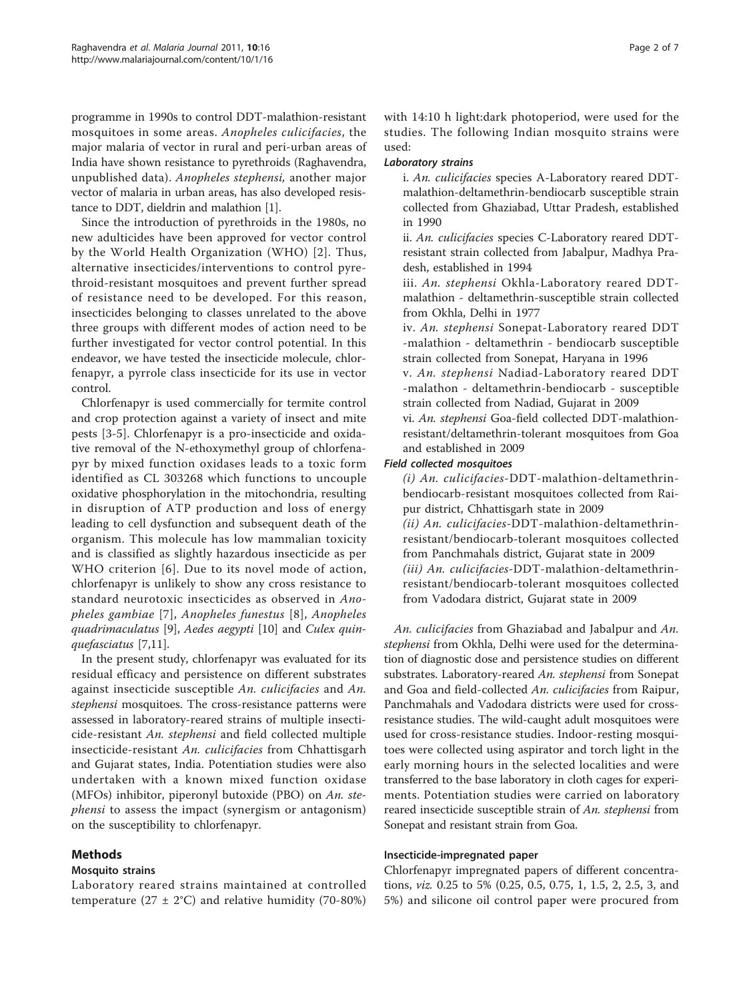programme in 1990s to control DDT-malathion-resistant mosquitoes in some areas. Anopheles culicifacies, the major malaria of vector in rural and peri-urban areas of India have shown resistance to pyrethroids (Raghavendra, unpublished data). Anopheles stephensi, another major vector of malaria in urban areas, has also developed resistance to DDT, dieldrin and malathion [\[1\]](#page-6-0).

Since the introduction of pyrethroids in the 1980s, no new adulticides have been approved for vector control by the World Health Organization (WHO) [[2\]](#page-6-0). Thus, alternative insecticides/interventions to control pyrethroid-resistant mosquitoes and prevent further spread of resistance need to be developed. For this reason, insecticides belonging to classes unrelated to the above three groups with different modes of action need to be further investigated for vector control potential. In this endeavor, we have tested the insecticide molecule, chlorfenapyr, a pyrrole class insecticide for its use in vector control.

Chlorfenapyr is used commercially for termite control and crop protection against a variety of insect and mite pests [[3-5](#page-6-0)]. Chlorfenapyr is a pro-insecticide and oxidative removal of the N-ethoxymethyl group of chlorfenapyr by mixed function oxidases leads to a toxic form identified as CL 303268 which functions to uncouple oxidative phosphorylation in the mitochondria, resulting in disruption of ATP production and loss of energy leading to cell dysfunction and subsequent death of the organism. This molecule has low mammalian toxicity and is classified as slightly hazardous insecticide as per WHO criterion [[6\]](#page-6-0). Due to its novel mode of action, chlorfenapyr is unlikely to show any cross resistance to standard neurotoxic insecticides as observed in Anopheles gambiae [\[7\]](#page-6-0), Anopheles funestus [[8](#page-6-0)], Anopheles quadrimaculatus [[9\]](#page-6-0), Aedes aegypti [[10\]](#page-6-0) and Culex quinquefasciatus [[7](#page-6-0),[11](#page-6-0)].

In the present study, chlorfenapyr was evaluated for its residual efficacy and persistence on different substrates against insecticide susceptible An. culicifacies and An. stephensi mosquitoes. The cross-resistance patterns were assessed in laboratory-reared strains of multiple insecticide-resistant An. stephensi and field collected multiple insecticide-resistant An. culicifacies from Chhattisgarh and Gujarat states, India. Potentiation studies were also undertaken with a known mixed function oxidase (MFOs) inhibitor, piperonyl butoxide (PBO) on An. stephensi to assess the impact (synergism or antagonism) on the susceptibility to chlorfenapyr.

## Methods

## Mosquito strains

Laboratory reared strains maintained at controlled temperature (27  $\pm$  2°C) and relative humidity (70-80%) with 14:10 h light:dark photoperiod, were used for the studies. The following Indian mosquito strains were used:

#### Laboratory strains

i. An. culicifacies species A-Laboratory reared DDTmalathion-deltamethrin-bendiocarb susceptible strain collected from Ghaziabad, Uttar Pradesh, established in 1990

ii. An. culicifacies species C-Laboratory reared DDTresistant strain collected from Jabalpur, Madhya Pradesh, established in 1994

iii. An. stephensi Okhla-Laboratory reared DDTmalathion - deltamethrin-susceptible strain collected from Okhla, Delhi in 1977

iv. An. stephensi Sonepat-Laboratory reared DDT -malathion - deltamethrin - bendiocarb susceptible strain collected from Sonepat, Haryana in 1996

v. An. stephensi Nadiad-Laboratory reared DDT -malathon - deltamethrin-bendiocarb - susceptible strain collected from Nadiad, Gujarat in 2009

vi. An. stephensi Goa-field collected DDT-malathionresistant/deltamethrin-tolerant mosquitoes from Goa and established in 2009

## Field collected mosquitoes

(i) An. culicifacies-DDT-malathion-deltamethrinbendiocarb-resistant mosquitoes collected from Raipur district, Chhattisgarh state in 2009 (ii) An. culicifacies-DDT-malathion-deltamethrinresistant/bendiocarb-tolerant mosquitoes collected from Panchmahals district, Gujarat state in 2009 (iii) An. culicifacies-DDT-malathion-deltamethrinresistant/bendiocarb-tolerant mosquitoes collected from Vadodara district, Gujarat state in 2009

An. culicifacies from Ghaziabad and Jabalpur and An. stephensi from Okhla, Delhi were used for the determination of diagnostic dose and persistence studies on different substrates. Laboratory-reared An. stephensi from Sonepat and Goa and field-collected An. culicifacies from Raipur, Panchmahals and Vadodara districts were used for crossresistance studies. The wild-caught adult mosquitoes were used for cross-resistance studies. Indoor-resting mosquitoes were collected using aspirator and torch light in the early morning hours in the selected localities and were transferred to the base laboratory in cloth cages for experiments. Potentiation studies were carried on laboratory reared insecticide susceptible strain of An. stephensi from Sonepat and resistant strain from Goa.

## Insecticide-impregnated paper

Chlorfenapyr impregnated papers of different concentrations, viz. 0.25 to 5% (0.25, 0.5, 0.75, 1, 1.5, 2, 2.5, 3, and 5%) and silicone oil control paper were procured from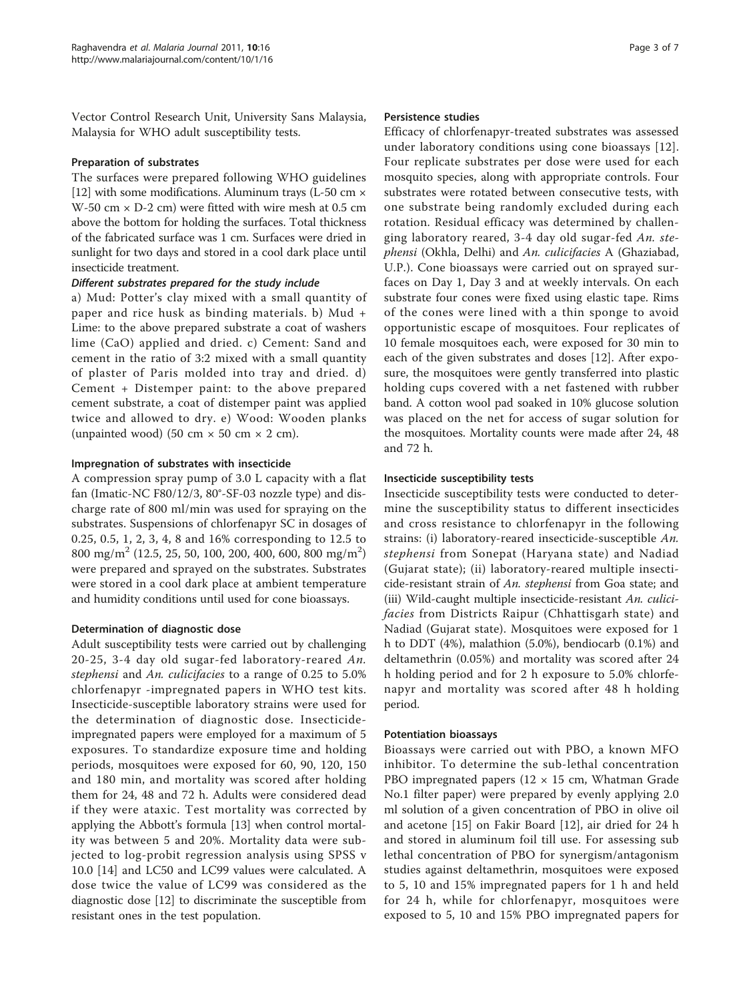Vector Control Research Unit, University Sans Malaysia, Malaysia for WHO adult susceptibility tests.

#### Preparation of substrates

The surfaces were prepared following WHO guidelines [[12](#page-6-0)] with some modifications. Aluminum trays (L-50 cm  $\times$ W-50 cm  $\times$  D-2 cm) were fitted with wire mesh at 0.5 cm above the bottom for holding the surfaces. Total thickness of the fabricated surface was 1 cm. Surfaces were dried in sunlight for two days and stored in a cool dark place until insecticide treatment.

#### Different substrates prepared for the study include

a) Mud: Potter's clay mixed with a small quantity of paper and rice husk as binding materials. b) Mud + Lime: to the above prepared substrate a coat of washers lime (CaO) applied and dried. c) Cement: Sand and cement in the ratio of 3:2 mixed with a small quantity of plaster of Paris molded into tray and dried. d) Cement + Distemper paint: to the above prepared cement substrate, a coat of distemper paint was applied twice and allowed to dry. e) Wood: Wooden planks (unpainted wood) (50 cm  $\times$  50 cm  $\times$  2 cm).

#### Impregnation of substrates with insecticide

A compression spray pump of 3.0 L capacity with a flat fan (Imatic-NC F80/12/3, 80°-SF-03 nozzle type) and discharge rate of 800 ml/min was used for spraying on the substrates. Suspensions of chlorfenapyr SC in dosages of 0.25, 0.5, 1, 2, 3, 4, 8 and 16% corresponding to 12.5 to  $800 \text{ mg/m}^2$  (12.5, 25, 50, 100, 200, 400, 600, 800 mg/m<sup>2</sup>) were prepared and sprayed on the substrates. Substrates were stored in a cool dark place at ambient temperature and humidity conditions until used for cone bioassays.

## Determination of diagnostic dose

Adult susceptibility tests were carried out by challenging 20-25, 3-4 day old sugar-fed laboratory-reared  $An$ . stephensi and An. culicifacies to a range of 0.25 to 5.0% chlorfenapyr -impregnated papers in WHO test kits. Insecticide-susceptible laboratory strains were used for the determination of diagnostic dose. Insecticideimpregnated papers were employed for a maximum of 5 exposures. To standardize exposure time and holding periods, mosquitoes were exposed for 60, 90, 120, 150 and 180 min, and mortality was scored after holding them for 24, 48 and 72 h. Adults were considered dead if they were ataxic. Test mortality was corrected by applying the Abbott's formula [\[13\]](#page-6-0) when control mortality was between 5 and 20%. Mortality data were subjected to log-probit regression analysis using SPSS v 10.0 [\[14](#page-6-0)] and LC50 and LC99 values were calculated. A dose twice the value of LC99 was considered as the diagnostic dose [[12\]](#page-6-0) to discriminate the susceptible from resistant ones in the test population.

#### Persistence studies

Efficacy of chlorfenapyr-treated substrates was assessed under laboratory conditions using cone bioassays [[12](#page-6-0)]. Four replicate substrates per dose were used for each mosquito species, along with appropriate controls. Four substrates were rotated between consecutive tests, with one substrate being randomly excluded during each rotation. Residual efficacy was determined by challenging laboratory reared, 3-4 day old sugar-fed An. stephensi (Okhla, Delhi) and An. culicifacies A (Ghaziabad, U.P.). Cone bioassays were carried out on sprayed surfaces on Day 1, Day 3 and at weekly intervals. On each substrate four cones were fixed using elastic tape. Rims of the cones were lined with a thin sponge to avoid opportunistic escape of mosquitoes. Four replicates of 10 female mosquitoes each, were exposed for 30 min to each of the given substrates and doses [[12\]](#page-6-0). After exposure, the mosquitoes were gently transferred into plastic holding cups covered with a net fastened with rubber band. A cotton wool pad soaked in 10% glucose solution was placed on the net for access of sugar solution for the mosquitoes. Mortality counts were made after 24, 48 and 72 h.

#### Insecticide susceptibility tests

Insecticide susceptibility tests were conducted to determine the susceptibility status to different insecticides and cross resistance to chlorfenapyr in the following strains: (i) laboratory-reared insecticide-susceptible An. stephensi from Sonepat (Haryana state) and Nadiad (Gujarat state); (ii) laboratory-reared multiple insecticide-resistant strain of An. stephensi from Goa state; and (iii) Wild-caught multiple insecticide-resistant An. culicifacies from Districts Raipur (Chhattisgarh state) and Nadiad (Gujarat state). Mosquitoes were exposed for 1 h to DDT (4%), malathion (5.0%), bendiocarb (0.1%) and deltamethrin (0.05%) and mortality was scored after 24 h holding period and for 2 h exposure to 5.0% chlorfenapyr and mortality was scored after 48 h holding period.

#### Potentiation bioassays

Bioassays were carried out with PBO, a known MFO inhibitor. To determine the sub-lethal concentration PBO impregnated papers ( $12 \times 15$  cm, Whatman Grade No.1 filter paper) were prepared by evenly applying 2.0 ml solution of a given concentration of PBO in olive oil and acetone [\[15](#page-6-0)] on Fakir Board [\[12](#page-6-0)], air dried for 24 h and stored in aluminum foil till use. For assessing sub lethal concentration of PBO for synergism/antagonism studies against deltamethrin, mosquitoes were exposed to 5, 10 and 15% impregnated papers for 1 h and held for 24 h, while for chlorfenapyr, mosquitoes were exposed to 5, 10 and 15% PBO impregnated papers for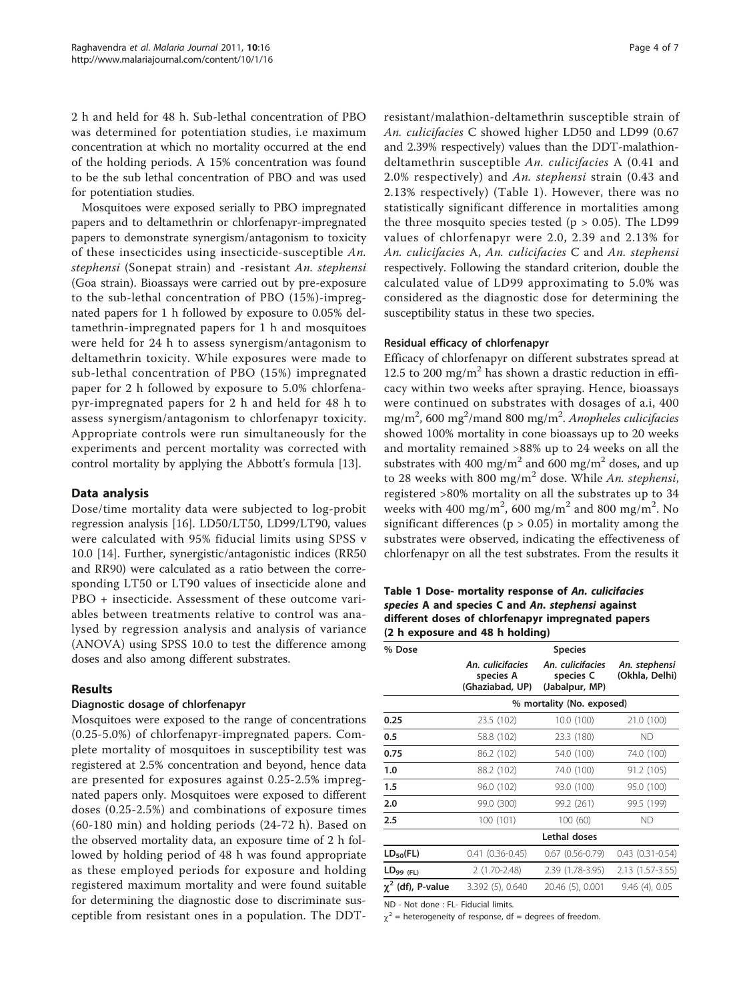2 h and held for 48 h. Sub-lethal concentration of PBO was determined for potentiation studies, i.e maximum concentration at which no mortality occurred at the end of the holding periods. A 15% concentration was found to be the sub lethal concentration of PBO and was used for potentiation studies.

Mosquitoes were exposed serially to PBO impregnated papers and to deltamethrin or chlorfenapyr-impregnated papers to demonstrate synergism/antagonism to toxicity of these insecticides using insecticide-susceptible An. stephensi (Sonepat strain) and -resistant An. stephensi (Goa strain). Bioassays were carried out by pre-exposure to the sub-lethal concentration of PBO (15%)-impregnated papers for 1 h followed by exposure to 0.05% deltamethrin-impregnated papers for 1 h and mosquitoes were held for 24 h to assess synergism/antagonism to deltamethrin toxicity. While exposures were made to sub-lethal concentration of PBO (15%) impregnated paper for 2 h followed by exposure to 5.0% chlorfenapyr-impregnated papers for 2 h and held for 48 h to assess synergism/antagonism to chlorfenapyr toxicity. Appropriate controls were run simultaneously for the experiments and percent mortality was corrected with control mortality by applying the Abbott's formula [[13](#page-6-0)].

## Data analysis

Dose/time mortality data were subjected to log-probit regression analysis [[16\]](#page-6-0). LD50/LT50, LD99/LT90, values were calculated with 95% fiducial limits using SPSS v 10.0 [\[14\]](#page-6-0). Further, synergistic/antagonistic indices (RR50 and RR90) were calculated as a ratio between the corresponding LT50 or LT90 values of insecticide alone and PBO + insecticide. Assessment of these outcome variables between treatments relative to control was analysed by regression analysis and analysis of variance (ANOVA) using SPSS 10.0 to test the difference among doses and also among different substrates.

## Results

## Diagnostic dosage of chlorfenapyr

Mosquitoes were exposed to the range of concentrations (0.25-5.0%) of chlorfenapyr-impregnated papers. Complete mortality of mosquitoes in susceptibility test was registered at 2.5% concentration and beyond, hence data are presented for exposures against 0.25-2.5% impregnated papers only. Mosquitoes were exposed to different doses (0.25-2.5%) and combinations of exposure times (60-180 min) and holding periods (24-72 h). Based on the observed mortality data, an exposure time of 2 h followed by holding period of 48 h was found appropriate as these employed periods for exposure and holding registered maximum mortality and were found suitable for determining the diagnostic dose to discriminate susceptible from resistant ones in a population. The DDT- resistant/malathion-deltamethrin susceptible strain of An. culicifacies C showed higher LD50 and LD99 (0.67 and 2.39% respectively) values than the DDT-malathiondeltamethrin susceptible An. culicifacies A (0.41 and 2.0% respectively) and An. stephensi strain (0.43 and 2.13% respectively) (Table 1). However, there was no statistically significant difference in mortalities among the three mosquito species tested ( $p > 0.05$ ). The LD99 values of chlorfenapyr were 2.0, 2.39 and 2.13% for An. culicifacies A, An. culicifacies C and An. stephensi respectively. Following the standard criterion, double the calculated value of LD99 approximating to 5.0% was considered as the diagnostic dose for determining the susceptibility status in these two species.

## Residual efficacy of chlorfenapyr

Efficacy of chlorfenapyr on different substrates spread at 12.5 to 200 mg/m<sup>2</sup> has shown a drastic reduction in efficacy within two weeks after spraying. Hence, bioassays were continued on substrates with dosages of a.i, 400 mg/m<sup>2</sup>, 600 mg<sup>2</sup>/mand 800 mg/m<sup>2</sup>. Anopheles culicifacies showed 100% mortality in cone bioassays up to 20 weeks and mortality remained >88% up to 24 weeks on all the substrates with 400 mg/m<sup>2</sup> and 600 mg/m<sup>2</sup> doses, and up to 28 weeks with 800 mg/m<sup>2</sup> dose. While An. stephensi, registered >80% mortality on all the substrates up to 34 weeks with 400 mg/m<sup>2</sup>, 600 mg/m<sup>2</sup> and 800 mg/m<sup>2</sup>. No significant differences ( $p > 0.05$ ) in mortality among the substrates were observed, indicating the effectiveness of chlorfenapyr on all the test substrates. From the results it

Table 1 Dose- mortality response of An. culicifacies species A and species C and An. stephensi against different doses of chlorfenapyr impregnated papers (2 h exposure and 48 h holding)

| % Dose                 | <b>Species</b>                                   |                                                 |                                 |  |  |  |  |
|------------------------|--------------------------------------------------|-------------------------------------------------|---------------------------------|--|--|--|--|
|                        | An. culicifacies<br>species A<br>(Ghaziabad, UP) | An. culicifacies<br>species C<br>(Jabalpur, MP) | An. stephensi<br>(Okhla, Delhi) |  |  |  |  |
|                        | % mortality (No. exposed)                        |                                                 |                                 |  |  |  |  |
| 0.25                   | 23.5 (102)                                       | 10.0 (100)                                      | 21.0 (100)                      |  |  |  |  |
| 0.5                    | 58.8 (102)                                       | 23.3 (180)                                      | <b>ND</b>                       |  |  |  |  |
| 0.75                   | 86.2 (102)                                       | 54.0 (100)                                      | 74.0 (100)                      |  |  |  |  |
| 1.0                    | 88.2 (102)                                       | 74.0 (100)                                      | 91.2 (105)                      |  |  |  |  |
| 1.5                    | 96.0 (102)                                       | 93.0 (100)                                      | 95.0 (100)                      |  |  |  |  |
| 2.0                    | 99.0 (300)                                       | 99.2 (261)                                      | 99.5 (199)                      |  |  |  |  |
| 2.5                    | 100 (101)                                        | 100 (60)                                        | <b>ND</b>                       |  |  |  |  |
|                        | Lethal doses                                     |                                                 |                                 |  |  |  |  |
| $LD_{50}(FL)$          | $0.41(0.36 - 0.45)$                              | $0.67$ $(0.56 - 0.79)$                          | $0.43$ $(0.31 - 0.54)$          |  |  |  |  |
| $LD_{99(FL)}$          | $2(1.70-2.48)$                                   | 2.39 (1.78-3.95)                                | 2.13 (1.57-3.55)                |  |  |  |  |
| $\chi^2$ (df), P-value | 3.392 (5), 0.640                                 | 20.46 (5), 0.001                                | $9.46(4)$ , 0.05                |  |  |  |  |

ND - Not done : FL- Fiducial limits.

 $\chi^2$  = heterogeneity of response, df = degrees of freedom.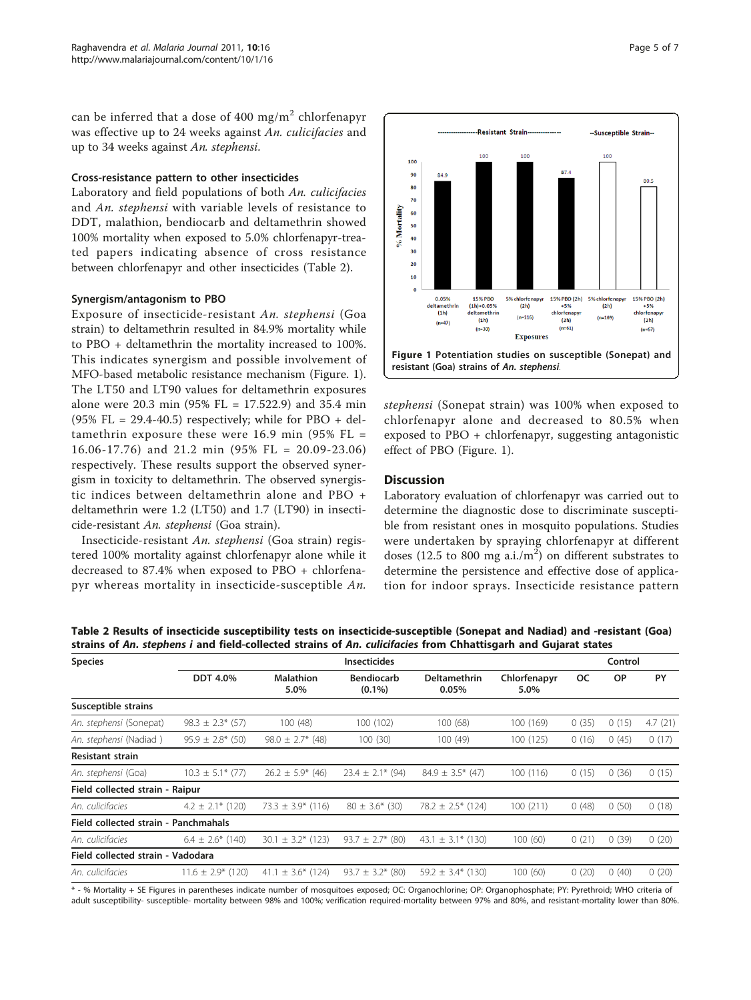can be inferred that a dose of 400 mg/m<sup>2</sup> chlorfenapyr was effective up to 24 weeks against An. culicifacies and up to 34 weeks against An. stephensi.

#### Cross-resistance pattern to other insecticides

Laboratory and field populations of both An. culicifacies and An. stephensi with variable levels of resistance to DDT, malathion, bendiocarb and deltamethrin showed 100% mortality when exposed to 5.0% chlorfenapyr-treated papers indicating absence of cross resistance between chlorfenapyr and other insecticides (Table 2).

## Synergism/antagonism to PBO

Exposure of insecticide-resistant An. stephensi (Goa strain) to deltamethrin resulted in 84.9% mortality while to PBO + deltamethrin the mortality increased to 100%. This indicates synergism and possible involvement of MFO-based metabolic resistance mechanism (Figure. 1). The LT50 and LT90 values for deltamethrin exposures alone were 20.3 min (95% FL = 17.522.9) and 35.4 min  $(95\%$  FL = 29.4-40.5) respectively; while for PBO + deltamethrin exposure these were  $16.9$  min (95% FL = 16.06-17.76) and 21.2 min (95% FL = 20.09-23.06) respectively. These results support the observed synergism in toxicity to deltamethrin. The observed synergistic indices between deltamethrin alone and PBO + deltamethrin were 1.2 (LT50) and 1.7 (LT90) in insecticide-resistant An. stephensi (Goa strain).

Insecticide-resistant An. stephensi (Goa strain) registered 100% mortality against chlorfenapyr alone while it decreased to 87.4% when exposed to PBO + chlorfenapyr whereas mortality in insecticide-susceptible An.



stephensi (Sonepat strain) was 100% when exposed to chlorfenapyr alone and decreased to 80.5% when exposed to PBO + chlorfenapyr, suggesting antagonistic effect of PBO (Figure. 1).

## **Discussion**

Laboratory evaluation of chlorfenapyr was carried out to determine the diagnostic dose to discriminate susceptible from resistant ones in mosquito populations. Studies were undertaken by spraying chlorfenapyr at different doses (12.5 to 800 mg a.i./ $m<sup>2</sup>$ ) on different substrates to determine the persistence and effective dose of application for indoor sprays. Insecticide resistance pattern

Table 2 Results of insecticide susceptibility tests on insecticide-susceptible (Sonepat and Nadiad) and -resistant (Goa) strains of An. stephens i and field-collected strains of An. culicifacies from Chhattisgarh and Gujarat states

| <b>Species</b>                       | <b>Insecticides</b>    |                          |                                |                        |                      | Control |           |         |
|--------------------------------------|------------------------|--------------------------|--------------------------------|------------------------|----------------------|---------|-----------|---------|
|                                      | <b>DDT 4.0%</b>        | <b>Malathion</b><br>5.0% | <b>Bendiocarb</b><br>$(0.1\%)$ | Deltamethrin<br>0.05%  | Chlorfenapyr<br>5.0% | oc      | <b>OP</b> | PY      |
| Susceptible strains                  |                        |                          |                                |                        |                      |         |           |         |
| An. stephensi (Sonepat)              | $98.3 \pm 2.3$ * (57)  | 100 (48)                 | 100 (102)                      | 100(68)                | 100 (169)            | 0(35)   | 0(15)     | 4.7(21) |
| An. stephensi (Nadiad)               | $95.9 \pm 2.8*$ (50)   | $98.0 \pm 2.7$ * (48)    | 100(30)                        | 100(49)                | 100(125)             | 0(16)   | 0(45)     | 0(17)   |
| <b>Resistant strain</b>              |                        |                          |                                |                        |                      |         |           |         |
| An. stephensi (Goa)                  | $10.3 \pm 5.1$ * (77)  | $26.2 \pm 5.9$ (46)      | $23.4 \pm 2.1*$ (94)           | $84.9 \pm 3.5$ * (47)  | 100(116)             | 0(15)   | 0(36)     | 0(15)   |
| Field collected strain - Raipur      |                        |                          |                                |                        |                      |         |           |         |
| An. culicifacies                     | $4.2 \pm 2.1$ * (120)  | 73.3 $\pm$ 3.9* (116)    | $80 \pm 3.6^*$ (30)            | $78.2 \pm 2.5$ * (124) | 100(211)             | 0(48)   | 0(50)     | 0(18)   |
| Field collected strain - Panchmahals |                        |                          |                                |                        |                      |         |           |         |
| An. culicifacies                     | $6.4 \pm 2.6^*$ (140)  | $\pm$ 3.2* (123)<br>30.1 | $93.7 \pm 2.7$ * (80)          | 43.1 $\pm$ 3.1* (130)  | 100(60)              | 0(21)   | 0(39)     | 0(20)   |
| Field collected strain - Vadodara    |                        |                          |                                |                        |                      |         |           |         |
| An. culicifacies                     | $11.6 \pm 2.9$ * (120) | $\pm$ 3.6* (124)<br>41.1 | $93.7 \pm 3.2$ * (80)          | $59.2 \pm 3.4$ (130)   | 100(60)              | 0(20)   | 0(40)     | 0(20)   |

\* - % Mortality + SE Figures in parentheses indicate number of mosquitoes exposed; OC: Organochlorine; OP: Organophosphate; PY: Pyrethroid; WHO criteria of adult susceptibility- susceptible- mortality between 98% and 100%; verification required-mortality between 97% and 80%, and resistant-mortality lower than 80%.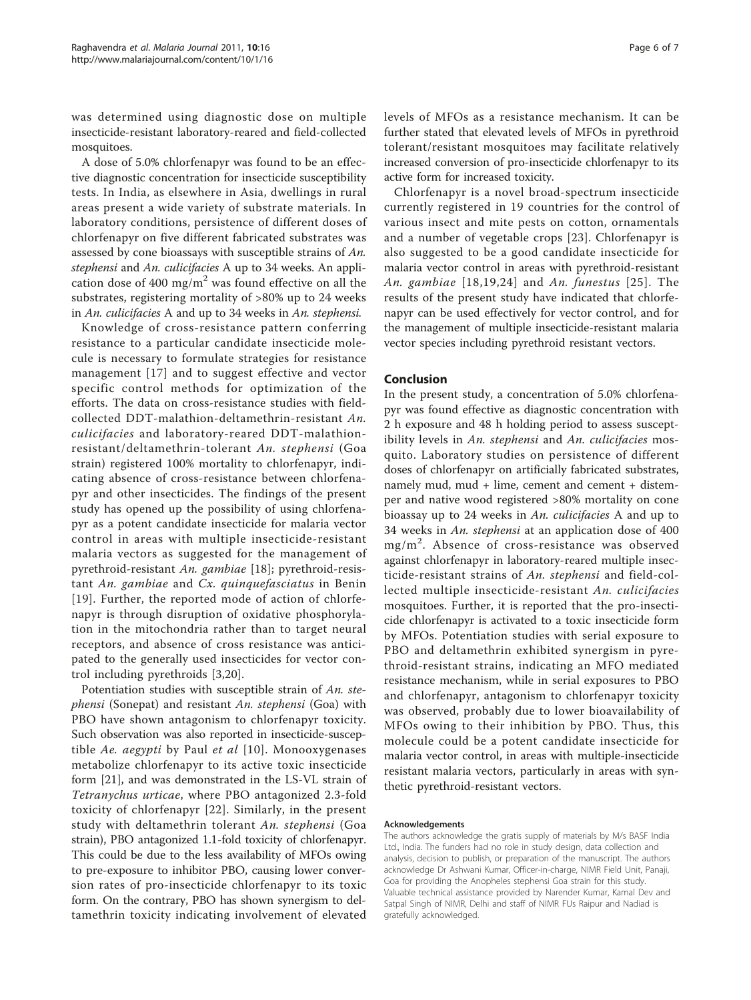was determined using diagnostic dose on multiple insecticide-resistant laboratory-reared and field-collected mosquitoes.

A dose of 5.0% chlorfenapyr was found to be an effective diagnostic concentration for insecticide susceptibility tests. In India, as elsewhere in Asia, dwellings in rural areas present a wide variety of substrate materials. In laboratory conditions, persistence of different doses of chlorfenapyr on five different fabricated substrates was assessed by cone bioassays with susceptible strains of An. stephensi and An. culicifacies A up to 34 weeks. An application dose of 400 mg/m<sup>2</sup> was found effective on all the substrates, registering mortality of >80% up to 24 weeks in An. culicifacies A and up to 34 weeks in An. stephensi.

Knowledge of cross-resistance pattern conferring resistance to a particular candidate insecticide molecule is necessary to formulate strategies for resistance management [\[17\]](#page-6-0) and to suggest effective and vector specific control methods for optimization of the efforts. The data on cross-resistance studies with fieldcollected DDT-malathion-deltamethrin-resistant An. culicifacies and laboratory-reared DDT-malathionresistant/deltamethrin-tolerant An. stephensi (Goa strain) registered 100% mortality to chlorfenapyr, indicating absence of cross-resistance between chlorfenapyr and other insecticides. The findings of the present study has opened up the possibility of using chlorfenapyr as a potent candidate insecticide for malaria vector control in areas with multiple insecticide-resistant malaria vectors as suggested for the management of pyrethroid-resistant An. gambiae [[18](#page-6-0)]; pyrethroid-resistant An. gambiae and Cx. quinquefasciatus in Benin [[19](#page-6-0)]. Further, the reported mode of action of chlorfenapyr is through disruption of oxidative phosphorylation in the mitochondria rather than to target neural receptors, and absence of cross resistance was anticipated to the generally used insecticides for vector control including pyrethroids [\[3,20](#page-6-0)].

Potentiation studies with susceptible strain of An. stephensi (Sonepat) and resistant An. stephensi (Goa) with PBO have shown antagonism to chlorfenapyr toxicity. Such observation was also reported in insecticide-suscep-tible Ae. aegypti by Paul et al [[10\]](#page-6-0). Monooxygenases metabolize chlorfenapyr to its active toxic insecticide form [\[21](#page-6-0)], and was demonstrated in the LS-VL strain of Tetranychus urticae, where PBO antagonized 2.3-fold toxicity of chlorfenapyr [[22](#page-6-0)]. Similarly, in the present study with deltamethrin tolerant An. stephensi (Goa strain), PBO antagonized 1.1-fold toxicity of chlorfenapyr. This could be due to the less availability of MFOs owing to pre-exposure to inhibitor PBO, causing lower conversion rates of pro-insecticide chlorfenapyr to its toxic form. On the contrary, PBO has shown synergism to deltamethrin toxicity indicating involvement of elevated

levels of MFOs as a resistance mechanism. It can be further stated that elevated levels of MFOs in pyrethroid tolerant/resistant mosquitoes may facilitate relatively increased conversion of pro-insecticide chlorfenapyr to its active form for increased toxicity.

Chlorfenapyr is a novel broad-spectrum insecticide currently registered in 19 countries for the control of various insect and mite pests on cotton, ornamentals and a number of vegetable crops [\[23](#page-6-0)]. Chlorfenapyr is also suggested to be a good candidate insecticide for malaria vector control in areas with pyrethroid-resistant An. gambiae [[18,19,24](#page-6-0)] and An. funestus [[25\]](#page-6-0). The results of the present study have indicated that chlorfenapyr can be used effectively for vector control, and for the management of multiple insecticide-resistant malaria vector species including pyrethroid resistant vectors.

#### Conclusion

In the present study, a concentration of 5.0% chlorfenapyr was found effective as diagnostic concentration with 2 h exposure and 48 h holding period to assess susceptibility levels in An. stephensi and An. culicifacies mosquito. Laboratory studies on persistence of different doses of chlorfenapyr on artificially fabricated substrates, namely mud, mud + lime, cement and cement + distemper and native wood registered >80% mortality on cone bioassay up to 24 weeks in An. culicifacies A and up to 34 weeks in An. stephensi at an application dose of 400 mg/m<sup>2</sup> . Absence of cross-resistance was observed against chlorfenapyr in laboratory-reared multiple insecticide-resistant strains of An. stephensi and field-collected multiple insecticide-resistant An. culicifacies mosquitoes. Further, it is reported that the pro-insecticide chlorfenapyr is activated to a toxic insecticide form by MFOs. Potentiation studies with serial exposure to PBO and deltamethrin exhibited synergism in pyrethroid-resistant strains, indicating an MFO mediated resistance mechanism, while in serial exposures to PBO and chlorfenapyr, antagonism to chlorfenapyr toxicity was observed, probably due to lower bioavailability of MFOs owing to their inhibition by PBO. Thus, this molecule could be a potent candidate insecticide for malaria vector control, in areas with multiple-insecticide resistant malaria vectors, particularly in areas with synthetic pyrethroid-resistant vectors.

#### Acknowledgements

The authors acknowledge the gratis supply of materials by M/s BASF India Ltd., India. The funders had no role in study design, data collection and analysis, decision to publish, or preparation of the manuscript. The authors acknowledge Dr Ashwani Kumar, Officer-in-charge, NIMR Field Unit, Panaji, Goa for providing the Anopheles stephensi Goa strain for this study. Valuable technical assistance provided by Narender Kumar, Kamal Dev and Satpal Singh of NIMR, Delhi and staff of NIMR FUs Raipur and Nadiad is gratefully acknowledged.